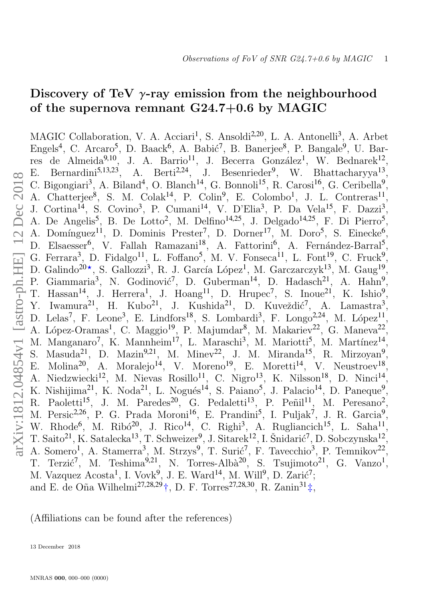# Discovery of TeV  $\gamma$ -ray emission from the neighbourhood of the supernova remnant G24.7+0.6 by MAGIC

MAGIC Collaboration, V. A. Acciari<sup>1</sup>, S. Ansoldi<sup>2,20</sup>, L. A. Antonelli<sup>3</sup>, A. Arbet Engels<sup>4</sup>, C. Arcaro<sup>5</sup>, D. Baack<sup>6</sup>, A. Babić<sup>7</sup>, B. Banerjee<sup>8</sup>, P. Bangale<sup>9</sup>, U. Barres de Almeida<sup>9,10</sup>, J. A. Barrio<sup>11</sup>, J. Becerra González<sup>1</sup>, W. Bednarek<sup>12</sup>, E. Bernardini<sup>5,13,23</sup>, A. Berti<sup>2,24</sup>, J. Besenrieder<sup>9</sup>, W. Bhattacharyya<sup>13</sup>, C. Bigongiari<sup>3</sup>, A. Biland<sup>4</sup>, O. Blanch<sup>14</sup>, G. Bonnoli<sup>15</sup>, R. Carosi<sup>16</sup>, G. Ceribella<sup>9</sup>, A. Chatterjee<sup>8</sup>, S. M. Colak<sup>14</sup>, P. Colin<sup>9</sup>, E. Colombo<sup>1</sup>, J. L. Contreras<sup>11</sup>, J. Cortina<sup>14</sup>, S. Covino<sup>3</sup>, P. Cumani<sup>14</sup>, V. D'Elia<sup>3</sup>, P. Da Vela<sup>15</sup>, F. Dazzi<sup>3</sup>, A. De Angelis<sup>5</sup>, B. De Lotto<sup>2</sup>, M. Delfino<sup>14,25</sup>, J. Delgado<sup>14,25</sup>, F. Di Pierro<sup>5</sup>, A. Domínguez<sup>11</sup>, D. Dominis Prester<sup>7</sup>, D. Dorner<sup>17</sup>, M. Doro<sup>5</sup>, S. Einecke<sup>6</sup>, D. Elsaesser<sup>6</sup>, V. Fallah Ramazani<sup>18</sup>, A. Fattorini<sup>6</sup>, A. Fernández-Barral<sup>5</sup>, G. Ferrara<sup>3</sup>, D. Fidalgo<sup>11</sup>, L. Foffano<sup>5</sup>, M. V. Fonseca<sup>11</sup>, L. Font<sup>19</sup>, C. Fruck<sup>9</sup>, D. Galindo<sup>20\*</sup>, S. Gallozzi<sup>3</sup>, R. J. García López<sup>1</sup>, M. Garczarczyk<sup>13</sup>, M. Gaug<sup>19</sup>, P. Giammaria<sup>3</sup>, N. Godinović<sup>7</sup>, D. Guberman<sup>14</sup>, D. Hadasch<sup>21</sup>, A. Hahn<sup>9</sup>, T. Hassan<sup>14</sup>, J. Herrera<sup>1</sup>, J. Hoang<sup>11</sup>, D. Hrupec<sup>7</sup>, S. Inoue<sup>21</sup>, K. Ishio<sup>9</sup>, Y. Iwamura<sup>21</sup>, H. Kubo<sup>21</sup>, J. Kushida<sup>21</sup>, D. Kuveždić<sup>7</sup>, A. Lamastra<sup>3</sup>, D. Lelas<sup>7</sup>, F. Leone<sup>3</sup>, E. Lindfors<sup>18</sup>, S. Lombardi<sup>3</sup>, F. Longo<sup>2,24</sup>, M. López<sup>11</sup>, A. López-Oramas<sup>1</sup>, C. Maggio<sup>19</sup>, P. Majumdar<sup>8</sup>, M. Makariev<sup>22</sup>, G. Maneva<sup>22</sup>, M. Manganaro<sup>7</sup>, K. Mannheim<sup>17</sup>, L. Maraschi<sup>3</sup>, M. Mariotti<sup>5</sup>, M. Martínez<sup>14</sup>, S. Masuda<sup>21</sup>, D. Mazin<sup>9,21</sup>, M. Minev<sup>22</sup>, J. M. Miranda<sup>15</sup>, R. Mirzoyan<sup>9</sup>, E. Molina<sup>20</sup>, A. Moralejo<sup>14</sup>, V. Moreno<sup>19</sup>, E. Moretti<sup>14</sup>, V. Neustroev<sup>18</sup>, A. Niedzwiecki<sup>12</sup>, M. Nievas Rosillo<sup>11</sup>, C. Nigro<sup>13</sup>, K. Nilsson<sup>18</sup>, D. Ninci<sup>14</sup> , K. Nishijima<sup>21</sup>, K. Noda<sup>21</sup>, L. Nogués<sup>14</sup>, S. Paiano<sup>5</sup>, J. Palacio<sup>14</sup>, D. Paneque<sup>9</sup>, R. Paoletti<sup>15</sup>, J. M. Paredes<sup>20</sup>, G. Pedaletti<sup>13</sup>, P. Peñil<sup>11</sup>, M. Peresano<sup>2</sup>, M. Persic<sup>2,26</sup>, P. G. Prada Moroni<sup>16</sup>, E. Prandini<sup>5</sup>, I. Puljak<sup>7</sup>, J. R. Garcia<sup>9</sup>, W. Rhode<sup>6</sup>, M. Ribó<sup>20</sup>, J. Rico<sup>14</sup>, C. Righi<sup>3</sup>, A. Rugliancich<sup>15</sup>, L. Saha<sup>11</sup>, T. Saito<sup>21</sup>, K. Satalecka<sup>13</sup>, T. Schweizer<sup>9</sup>, J. Sitarek<sup>12</sup>, I. Šnidarić<sup>7</sup>, D. Sobczynska<sup>12</sup>, A. Somero<sup>1</sup>, A. Stamerra<sup>3</sup>, M. Strzys<sup>9</sup>, T. Surić<sup>7</sup>, F. Tavecchio<sup>3</sup>, P. Temnikov<sup>22</sup>, T. Terzić<sup>7</sup>, M. Teshima<sup>9,21</sup>, N. Torres-Albà<sup>20</sup>, S. Tsujimoto<sup>21</sup>, G. Vanzo<sup>1</sup>, M. Vazquez  $A\text{costa}^1$ , I. Vovk<sup>9</sup>, J. E. Ward<sup>14</sup>, M. Will<sup>9</sup>, D. Zarić<sup>7</sup>; and E. de Oña Wilhelmi<sup>27,28,29</sup>†, D. F. Torres<sup>27,28,30</sup>, R. Zanin<sup>31</sup>‡,

(Affiliations can be found after the references)

<span id="page-0-0"></span>13 December 2018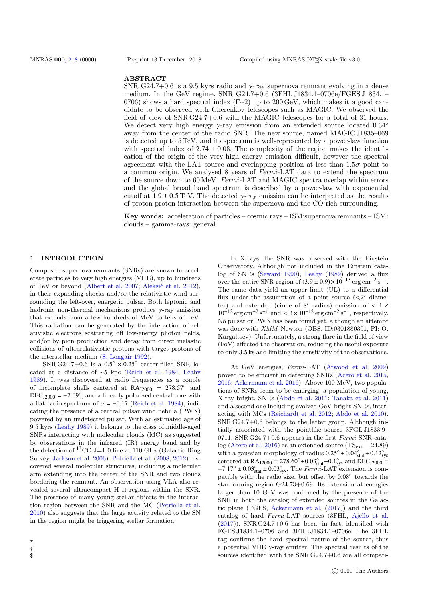#### ABSTRACT

SNR G24.7+0.6 is a 9.5 kyrs radio and  $\gamma$ -ray supernova remnant evolving in a dense medium. In the GeV regime, SNR G24.7+0.6 (3FHL J1834.1–0706e/FGES J1834.1– 0706) shows a hard spectral index (Γ∼2) up to 200 GeV, which makes it a good candidate to be observed with Cherenkov telescopes such as MAGIC. We observed the field of view of SNR G24.7+0.6 with the MAGIC telescopes for a total of 31 hours. We detect very high energy γ-ray emission from an extended source located 0.34◦ away from the center of the radio SNR. The new source, named MAGIC J1835–069 is detected up to 5 TeV, and its spectrum is well-represented by a power-law function with spectral index of  $2.74 \pm 0.08$ . The complexity of the region makes the identification of the origin of the very-high energy emission difficult, however the spectral agreement with the LAT source and overlapping position at less than  $1.5\sigma$  point to a common origin. We analysed 8 years of Fermi-LAT data to extend the spectrum of the source down to 60 MeV. Fermi-LAT and MAGIC spectra overlap within errors and the global broad band spectrum is described by a power-law with exponential cutoff at  $1.9 \pm 0.5$  TeV. The detected  $\gamma$ -ray emission can be interpreted as the results of proton-proton interaction between the supernova and the CO-rich surrounding.

Key words: acceleration of particles – cosmic rays – ISM:supernova remnants – ISM: clouds – gamma-rays: general

### 1 INTRODUCTION

Composite supernova remnants (SNRs) are known to accelerate particles to very high energies (VHE), up to hundreds of TeV or beyond [\(Albert et al.](#page-7-0) [2007;](#page-7-0) Aleksić et al. [2012\)](#page-7-1), in their expanding shocks and/or the relativistic wind surrounding the left-over, energetic pulsar. Both leptonic and hadronic non-thermal mechanisms produce γ-ray emission that extends from a few hundreds of MeV to tens of TeV. This radiation can be generated by the interaction of relativistic electrons scattering off low-energy photon fields, and/or by pion production and decay from direct inelastic collisions of ultrarelativistic protons with target protons of the interstellar medium [\(S. Longair](#page-7-2) [1992\)](#page-7-2).

SNR G24.7+0.6 is a  $0.5^{\circ} \times 0.25^{\circ}$  center-filled SNR lo-<br>d at a distance of  $\approx 5$  kpc (Beich et al. 1984; Leaby cated at a distance of ∼5 kpc [\(Reich et al.](#page-7-3) [1984;](#page-7-3) [Leahy](#page-7-4) [1989\)](#page-7-4). It was discovered at radio frequencies as a couple of incomplete shells centered at  $RA<sub>12000</sub> = 278.57°$  and DEC<sub>J2000</sub> =  $-7.09^{\circ}$ , and a linearly polarized central core with a flat radio spectrum of  $\alpha = -0.17$  [\(Reich et al.](#page-7-3) [1984\)](#page-7-3), indicating the presence of a central pulsar wind nebula (PWN) powered by an undetected pulsar. With an estimated age of 9.5 kyrs [\(Leahy](#page-7-4) [1989\)](#page-7-4) it belongs to the class of middle-aged SNRs interacting with molecular clouds (MC) as suggested by observations in the infrared (IR) energy band and by the detection of  ${}^{13}$ CO J=1-0 line at 110 GHz (Galactic Ring Survey, [Jackson et al.](#page-7-5) [2006\)](#page-7-5). [Petriella et al.](#page-7-6) [\(2008,](#page-7-6) [2012\)](#page-7-7) discovered several molecular structures, including a molecular arm extending into the center of the SNR and two clouds bordering the remnant. An observation using VLA also revealed several ultracompact H II regions within the SNR. The presence of many young stellar objects in the interaction region between the SNR and the MC [\(Petriella et al.](#page-7-8) [2010\)](#page-7-8) also suggests that the large activity related to the SN in the region might be triggering stellar formation.

† ‡

In X-rays, the SNR was observed with the Einstein Observatory. Although not included in the Einstein catalog of SNRs [\(Seward](#page-7-9) [1990\)](#page-7-9), [Leahy](#page-7-4) [\(1989\)](#page-7-4) derived a flux over the entire SNR region of  $(3.9 \pm 0.9) \times 10^{-13}$  erg cm<sup>-2</sup> s<sup>-1</sup>.<br>The same data viold an upper limit (III) to a differential The same data yield an upper limit (UL) to a differential flux under the assumption of a point source  $\left\langle \langle 2^{\prime} \right\rangle$  diameter) and extended (circle of 8' radius) emission of  $\lt 1 \times 10^{-12}$  erg cm<sup>-2</sup> s<sup>-1</sup> respectively  $10^{-12}$  erg cm<sup>-2</sup> s<sup>-1</sup> and <  $3 \times 10^{-12}$  erg cm<sup>-2</sup> s<sup>-1</sup>, respectively. No pulsar or PWN has been found yet, although an attempt was done with XMM -Newton (OBS. ID:0301880301, PI: O. Kargaltsev). Unfortunately, a strong flare in the field of view (FoV) affected the observation, reducing the useful exposure to only 3.5 ks and limiting the sensitivity of the observations.

At GeV energies, Fermi-LAT [\(Atwood et al.](#page-7-10) [2009\)](#page-7-10) proved to be efficient in detecting SNRs [\(Acero et al.](#page-7-11) [2015,](#page-7-11) [2016;](#page-7-12) [Ackermann et al.](#page-7-13) [2016\)](#page-7-13). Above 100 MeV, two populations of SNRs seem to be emerging: a population of young, X-ray bright, SNRs [\(Abdo et al.](#page-7-14) [2011;](#page-7-14) [Tanaka et al.](#page-7-15) [2011\)](#page-7-15) and a second one including evolved GeV-bright SNRs, interacting with MCs [\(Reichardt et al.](#page-7-16) [2012;](#page-7-16) [Abdo et al.](#page-7-17) [2010\)](#page-7-17). SNR G24.7+0.6 belongs to the latter group. Although initially associated with the pointlike source 3FGL J1833.9– 0711, SNR G24.7+0.6 appears in the first Fermi SNR cata-log [\(Acero et al.](#page-7-12) [2016\)](#page-7-12) as an extended source (TS<sub>ext</sub> = 24.89) with a gaussian morphology of radius  $0.25° \pm 0.04°$   $\text{stat} \pm 0.12°$ <br>contered at P A reses = 278 60° +0.03°  $\pm 0.1°$  and DEC reses centered at  $\text{RA}_{J2000} = 278.60^{\circ} \pm 0.03^{\circ}_{\text{stat}} \pm 0.1^{\circ}_{\text{sys}}$  and  $\text{DEC}_{J2000} = -7.17^{\circ} \pm 0.03^{\circ}_{\text{stat}} \pm 0.03^{\circ}$ . The *Fermi* LAT extension is com- $-7.17° \pm 0.03^{\circ}_{stat} \pm 0.03^{\circ}_{sys}$ . The *Fermi*-LAT extension is com-<br>patible with the radio size, but offset by 0.08° towards the patible with the radio size, but offset by  $0.08°$  towards the star forming region  $C24.73+0.69$ . Its extension at energies star-forming region G24.73+0.69. Its extension at energies larger than 10 GeV was confirmed by the presence of the SNR in both the catalog of extended sources in the Galactic plane (FGES, [Ackermann et al.](#page-7-18) [\(2017\)](#page-7-18)) and the third catalog of hard *Fermi*-LAT sources (3FHL, [Ajello et al.](#page-7-19)  $(2017)$ ). SNR G24.7+0.6 has been, in fact, identified with FGES J1834.1–0706 and 3FHL J1834.1–0706e. The 3FHL tag confirms the hard spectral nature of the source, thus a potential VHE  $\gamma$ -ray emitter. The spectral results of the sources identified with the SNR G24.7+0.6 are all compati-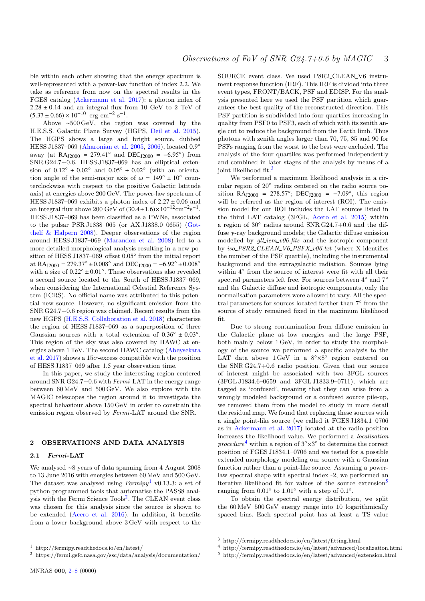ble within each other showing that the energy spectrum is well-represented with a power-law function of index <sup>2</sup>.2. We take as reference from now on the spectral results in the FGES catalog [\(Ackermann et al.](#page-7-18) [2017\)](#page-7-18): a photon index of  $2.28 \pm 0.14$  and an integral flux from 10 GeV to 2 TeV of  $(5.37 \pm 0.66) \times 10^{-10}$  erg cm<sup>-2</sup> s<sup>-1</sup>.<br>Above a 500 GoV the regio

Above ∼500 GeV, the region was covered by the H.E.S.S. Galactic Plane Survey (HGPS, [Deil et al.](#page-7-20) [2015\)](#page-7-20). The HGPS shows a large and bright source, dubbed HESS J1837–069 [\(Aharonian et al.](#page-7-21) [2005,](#page-7-21) [2006\)](#page-7-22), located  $0.9^{\circ}$ <br>sway (at RArses = 279.41° and DECress =  $-6.95^{\circ}$ ) from away (at RA<sub>J2000</sub> = 279.41<sup>°</sup> and DEC<sub>J2000</sub> =  $-6.95°$ ) from<br>SNR  $G24.7+0.6$  HESS  $11837-060$  has an elliptical oxten SNR G24.7+0.6. HESS J1837–069 has an elliptical extension of  $0.12° \pm 0.02°$  and  $0.05° \pm 0.02°$  (with an orienta-<br>tion angle of the semi-major axis of  $\omega = 149° \pm 10°$  countion angle of the semi-major axis of  $\omega = 149° \pm 10°$  coun-<br>terclockwise with respect to the positive Galactic latitude terclockwise with respect to the positive Galactic latitude axis) at energies above 200 GeV. The power-law spectrum of HESS J1837–069 exhibits a photon index of  $2.27 \pm 0.06$  and an integral flux above 200 GeV of  $(30.4 \pm 1.6) \times 10^{-12}$  cm<sup>-2</sup>s<sup>-1</sup>.<br>HESS 11837–069 has been classified as a PWNe associated HESS J1837–069 has been classified as a PWNe, associated to the pulsar PSR J1838–065 (or AX J1838.0–0655) [\(Got](#page-7-23)[thelf & Halpern](#page-7-23) [2008\)](#page-7-23). Deeper observations of the region around HESS J1837–069 [\(Marandon et al.](#page-7-24) [2008\)](#page-7-24) led to a more detailed morphological analysis resulting in a new position of HESS J1837–069 offset  $0.05^\circ$  from the initial report<br>at  $R\Delta_{\text{reco}} = 279.37^\circ \pm 0.008^\circ$  and DEC reses = -6.92°  $\pm 0.008^\circ$ at RA<sub>12000</sub> = 279.37° ±0.008° and DEC<sub>12000</sub> =  $-6.92^{\circ} \pm 0.008^{\circ}$ with a size of  $0.22° \pm 0.01°$ . These observations also revealed<br>a second source located to the South of HESS 11837–069 a second source located to the South of HESS J1837–069, when considering the International Celestial Reference System (ICRS). No official name was attributed to this potential new source. However, no significant emission from the SNR G24.7+0.6 region was claimed. Recent results from the new HGPS [\(H.E.S.S. Collaboration et al.](#page-7-25) [2018\)](#page-7-25) characterise the region of HESS J1837–069 as a superposition of three Gaussian sources with a total extension of  $0.36° \pm 0.03°$ .<br>This region of the sky was also covered by HAWC at en-This region of the sky was also covered by HAWC at energies above 1 TeV. The second HAWC catalog [\(Abeysekara](#page-7-26) [et al.](#page-7-26) [2017\)](#page-7-26) shows a  $15\sigma$ -excess compatible with the position of HESS J1837–069 after <sup>1</sup>.<sup>5</sup> year observation time.

In this paper, we study the interesting region centered around SNR G24.7+0.6 with Fermi-LAT in the energy range between 60 MeV and 500 GeV. We also explore with the MAGIC telescopes the region around it to investigate the spectral behaviour above 150 GeV in order to constrain the emission region observed by Fermi-LAT around the SNR.

# 2 OBSERVATIONS AND DATA ANALYSIS

# 2.1 Fermi-LAT

We analysed ∼8 years of data spanning from 4 August 2008 to 13 June 2016 with energies between 60 MeV and 500 GeV. The dataset was analysed using  $Fermipy^1$  $Fermipy^1$  v0.13.3: a set of python programmed tools that automatise the PASS8 anal-ysis with the Fermi Science Tools<sup>[2](#page-2-1)</sup>. The CLEAN event class was chosen for this analysis since the source is shown to be extended [\(Acero et al.](#page-7-12) [2016\)](#page-7-12). In addition, it benefits from a lower background above 3 GeV with respect to the

SOURCE event class. We used P8R2\_CLEAN\_V6 instrument response function (IRF). This IRF is divided into three event types, FRONT/BACK, PSF and EDISP. For the analysis presented here we used the PSF partition which guarantees the best quality of the reconstructed direction. This PSF partition is subdivided into four quartiles increasing in quality from PSF0 to PSF3, each of which with its zenith angle cut to reduce the background from the Earth limb. Thus photons with zenith angles larger than 70, 75, 85 and 90 for PSFs ranging from the worst to the best were excluded. The analysis of the four quartiles was performed independently and combined in later stages of the analysis by means of a joint likelihood fit.<sup>[3](#page-2-2)</sup>

We performed a maximum likelihood analysis in a circular region of 20° radius centered on the radio source position  $\text{RA}_{J2000} = 278.57^\circ$ ;  $\text{DEC}_{J2000} = -7.09^\circ$ , this region<br>will be referred as the region of interest (BOI). The emiswill be referred as the region of interest (ROI). The emission model for our ROI includes the LAT sources listed in the third LAT catalog (3FGL, [Acero et al.](#page-7-11) [2015\)](#page-7-11) within a region of  $30°$  radius around SNR G24.7+0.6 and the diffuse  $\gamma$ -ray background models; the Galactic diffuse emission modelled by  $all\_iem_v06$ .fits and the isotropic component by  $iso\_PSR2$  CLEAN V6 PSFX v06.txt (where X identifies the number of the PSF quartile), including the instrumental background and the extragalactic radiation. Sources lying within  $4°$  from the source of interest were fit with all their spectral parameters left free. For sources between  $4°$  and  $7°$ and the Galactic diffuse and isotropic components, only the normalisation parameters were allowed to vary. All the spectral parameters for sources located farther than  $7^{\circ}$  from the source of study remained fixed in the maximum likelihood fit.

Due to strong contamination from diffuse emission in the Galactic plane at low energies and the large PSF, both mainly below 1 GeV, in order to study the morphology of the source we performed a specific analysis to the LAT data above  $1 \text{ GeV}$  in a  $8^\circ \times 8^\circ$  region centered on the SNR G24.7+0.6 radio position. Given that our source of interest might be associated with two 3FGL sources (3FGL J1834.6–0659 and 3FGL J1833.9–0711), which are tagged as 'confused', meaning that they can arise from a wrongly modeled background or a confused source pile-up, we removed them from the model to study in more detail the residual map. We found that replacing these sources with a single point-like source (we called it FGES J1834.1–0706 as in [Ackermann et al.](#page-7-18) [2017\)](#page-7-18) located at the radio position increases the likelihood value. We performed a localisation procedure<sup>[4](#page-2-3)</sup> within a region of  $3^{\circ} \times 3^{\circ}$  to determine the correct position of FGES J1834.1–0706 and we tested for a possible extended morphology modeling our source with a Gaussian function rather than a point-like source. Assuming a powerlaw spectral shape with spectral index -2, we performed an iterative likelihood fit for values of the source extension<sup>[5](#page-2-4)</sup> ranging from  $0.01^\circ$  to  $1.01^\circ$  with a step of  $0.1^\circ$ .

To obtain the spectral energy distribution, we split the 60 MeV–500 GeV energy range into 10 logarithmically spaced bins. Each spectral point has at least a TS value

<span id="page-2-0"></span><sup>1</sup> http://fermipy.readthedocs.io/en/latest/

<span id="page-2-1"></span><sup>2</sup> https://fermi.gsfc.nasa.gov/ssc/data/analysis/documentation/

<span id="page-2-2"></span><sup>3</sup> http://fermipy.readthedocs.io/en/latest/fitting.html

<span id="page-2-3"></span><sup>4</sup> http://fermipy.readthedocs.io/en/latest/advanced/localization.html

<span id="page-2-4"></span><sup>5</sup> http://fermipy.readthedocs.io/en/latest/advanced/extension.html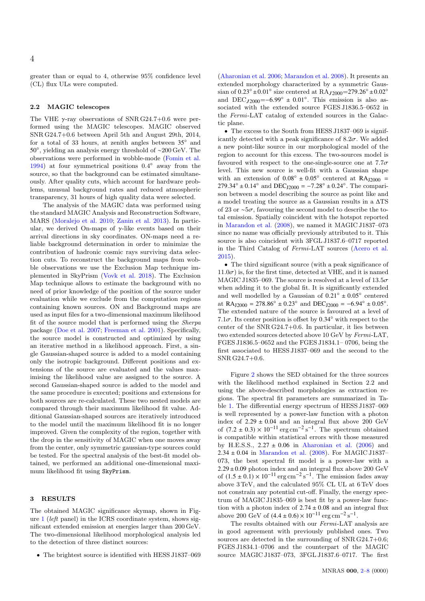greater than or equal to 4, otherwise 95% confidence level (CL) flux ULs were computed.

# 2.2 MAGIC telescopes

The VHE  $\gamma$ -ray observations of SNR G24.7+0.6 were performed using the MAGIC telescopes. MAGIC observed SNR G24.7+0.6 between April 5th and August 29th, 2014, for a total of 33 hours, at zenith angles between  $35°$  and 50◦ , yielding an analysis energy threshold of ∼200 GeV. The observations were performed in wobble-mode [\(Fomin et al.](#page-7-27) [1994\)](#page-7-27) at four symmetrical positions 0.4◦ away from the source, so that the background can be estimated simultaneously. After quality cuts, which account for hardware problems, unusual background rates and reduced atmospheric transparency, 31 hours of high quality data were selected.

The analysis of the MAGIC data was performed using the standard MAGIC Analysis and Reconstruction Software, MARS [\(Moralejo et al.](#page-7-28) [2010;](#page-7-28) [Zanin et al.](#page-7-29) [2013\)](#page-7-29). In particular, we derived On-maps of  $\gamma$ -like events based on their arrival directions in sky coordinates. ON-maps need a reliable background determination in order to minimize the contribution of hadronic cosmic rays surviving data selection cuts. To reconstruct the background maps from wobble observations we use the Exclusion Map technique implemented in SkyPrism [\(Vovk et al.](#page-7-30) [2018\)](#page-7-30). The Exclusion Map technique allows to estimate the background with no need of prior knowledge of the position of the source under evaluation while we exclude from the computation regions containing known sources. ON and Background maps are used as input files for a two-dimensional maximum likelihood fit of the source model that is performed using the Sherpa package [\(Doe et al.](#page-7-31) [2007;](#page-7-31) [Freeman et al.](#page-7-32) [2001\)](#page-7-32). Specifically, the source model is constructed and optimized by using an iterative method in a likelihood approach. First, a single Gaussian-shaped source is added to a model containing only the isotropic background. Different positions and extensions of the source are evaluated and the values maximising the likelihood value are assigned to the source. A second Gaussian-shaped source is added to the model and the same procedure is executed; positions and extensions for both sources are re-calculated. These two nested models are compared through their maximum likelihood fit value. Additional Gaussian-shaped sources are iteratively introduced to the model until the maximum likelihood fit is no longer improved. Given the complexity of the region, together with the drop in the sensitivity of MAGIC when one moves away from the center, only symmetric gaussian-type sources could be tested. For the spectral analysis of the best-fit model obtained, we performed an additional one-dimensional maximum likelihood fit using SkyPrism.

# 3 RESULTS

The obtained MAGIC significance skymap, shown in Figure [1](#page-4-0) (left panel) in the ICRS coordinate system, shows significant extended emission at energies larger than 200 GeV. The two-dimensional likelihood morphological analysis led to the detection of three distinct sources:

• The brightest source is identified with HESS J1837–069

[\(Aharonian et al.](#page-7-22) [2006;](#page-7-22) [Marandon et al.](#page-7-24) [2008\)](#page-7-24). It presents an extended morphology characterized by a symmetric Gaussian of  $0.23° \pm 0.01°$  size centered at RA $J_2000=279.26° \pm 0.02°$ <br>and DEC resears  $-6.99° \pm 0.01°$ . This emission is also as and  $DEC_{J2000} = -6.99° \pm 0.01°$ . This emission is also as-<br>societed with the extended source EGFS 11836.5–0652 in sociated with the extended source FGES J1836.5–0652 in the Fermi-LAT catalog of extended sources in the Galactic plane.

• The excess to the South from HESS J1837–069 is significantly detected with a peak significance of  $8.2\sigma$ . We added a new point-like source in our morphological model of the region to account for this excess. The two-sources model is favoured with respect to the one-single-source one at  $7.7\sigma$ level. This new source is well-fit with a Gaussian shape with an extension of  $0.08° \pm 0.05°$  centered at RA<sub>J2000</sub> = <br>279.34° + 0.14° and DEC reses = -7.28° + 0.24°. The compari- $279.34° \pm 0.14°$  and  $DEC<sub>J2000</sub> = -7.28° \pm 0.24°$ . The comparison between a model describing the source as point like and son between a model describing the source as point like and a model treating the source as a Gaussian results in a ∆TS of 23 or <sup>∼</sup>5σ, favouring the second model to describe the total emission. Spatially coincident with the hotspot reported in [Marandon et al.](#page-7-24) [\(2008\)](#page-7-24), we named it MAGIC J1837–073 since no name was officially previously attributed to it. This source is also coincident with 3FGL J1837.6–0717 reported in the Third Catalog of Fermi-LAT sources [\(Acero et al.](#page-7-11) [2015\)](#page-7-11).

• The third significant source (with a peak significance of  $11.0\sigma$ ) is, for the first time, detected at VHE, and it is named MAGIC J1835-069. The source is resolved at a level of  $13.5\sigma$ when adding it to the global fit. It is significantly extended and well modelled by a Gaussian of  $0.21° \pm 0.05°$  centered<br>at RApses = 278.86°  $\pm$  0.23° and DECpass = -6.94°  $\pm$  0.05° at  $\text{RA}_{J2000} = 278.86° \pm 0.23°$  and  $\text{DEC}_{J2000} = -6.94° \pm 0.05°$ .<br>The extended nature of the source is favoured at a lovel of The extended nature of the source is favoured at a level of 7.1 $\sigma$ . Its center position is offset by 0.34 $\degree$  with respect to the center of the SNR G24.7+0.6. In particular, it lies between two extended sources detected above 10 GeV by Fermi-LAT, FGES J1836.5–0652 and the FGES J1834.1– 0706, being the first associated to HESS J1837–069 and the second to the SNR G24.7+0.6.

Figure [2](#page-5-0) shows the SED obtained for the three sources with the likelihood method explained in Section 2.2 and using the above-described morphologies as extraction regions. The spectral fit parameters are summarized in Table [1.](#page-4-1) The differential energy spectrum of HESS J1837–069 is well represented by a power-law function with a photon index of  $2.29 \pm 0.04$  and an integral flux above 200 GeV of  $(7.2 \pm 0.3) \times 10^{-11}$  erg cm<sup>-2</sup> s<sup>-1</sup>. The spectrum obtained<br>is compatible within statistical errors with those measured is compatible within statistical errors with those measured by H.E.S.S.,  $2.27 \pm 0.06$  in [Aharonian et al.](#page-7-22) [\(2006\)](#page-7-22) and  $2.34 \pm 0.04$  in [Marandon et al.](#page-7-24) [\(2008\)](#page-7-24). For MAGIC J1837– 073, the best spectral fit model is a power-law with a  $2.29 \pm 0.09$  photon index and an integral flux above 200 GeV of  $(1.5 \pm 0.1) \times 10^{-11}$  erg cm<sup>-2</sup> s<sup>-1</sup>. The emission fades away above 3 TeV, and the calculated 95% CL UL at 6 TeV does not constrain any potential cut-off. Finally, the energy spectrum of MAGIC J1835–069 is best fit by a power-law function with a photon index of  $2.74 \pm 0.08$  and an integral flux above 200 GeV of  $(4.4 \pm 0.6) \times 10^{-11}$  erg cm<sup>-2</sup> s<sup>-1</sup>.<br>The results obtained with our *Fermi* LAT a

The results obtained with our Fermi-LAT analysis are in good agreement with previously published ones. Two sources are detected in the surrounding of SNR G24.7+0.6; FGES J1834.1–0706 and the counterpart of the MAGIC source MAGIC J1837–073, 3FGL J1837.6–0717. The first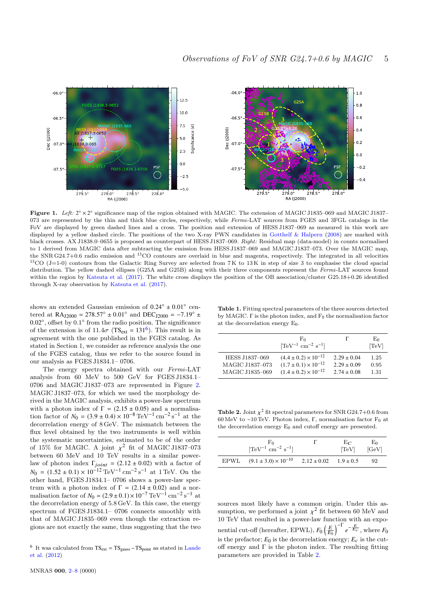

Figure 1. Left:  $2^{\circ} \times 2^{\circ}$  significance map of the region obtained with MAGIC. The extension of MAGIC J1835–069 and MAGIC J1837– 073 are represented by the thin and thick blue circles, respectively, while Fermi-LAT sources from FGES and 3FGL catalogs in the FoV are displayed by green dashed lines and a cross. The position and extension of HESS J1837–069 as measured in this work are displayed by a yellow dashed circle. The positions of the two X-ray PWN candidates in [Gotthelf & Halpern](#page-7-23) [\(2008\)](#page-7-23) are marked with black crosses. AX J1838.0–0655 is proposed as counterpart of HESS J1837–069. Right: Residual map (data-model) in counts normalised to 1 derived from MAGIC data after subtracting the emission from HESS J1837–069 and MAGIC J1837–073. Over the MAGIC map, the SNR G24.7+0.6 radio emission and <sup>13</sup>CO contours are overlaid in blue and magenta, respectively. The integrated in all velocities <sup>13</sup>CO (J=1-0) contours from the Galactic Ring Survey are selected from  $7K$  to  $13K$  in step of size 3 to emphasise the cloud spacial distribution. The yellow dashed ellipses (G25A and G25B) along with their three components represent the Fermi-LAT sources found within the region by [Katsuta et al.](#page-7-33) [\(2017\)](#page-7-33). The white cross displays the position of the OB association/cluster G25.18+0.26 identified through X-ray observation by [Katsuta et al.](#page-7-33) [\(2017\)](#page-7-33).

shows an extended Gaussian emission of  $0.24° \pm 0.01°$  central of  $R_{\text{Area}} = 278.57° \pm 0.01°$  and  $DE_{\text{Area}} = -7.19° \pm 0.01°$ tered at RA<sub>12000</sub> = 278.57°  $\pm$  0.01° and DEC<sub>12000</sub> = -7.19°  $\pm$ 0.02°, offset by 0.1° from the radio position. The significance<br>of the extension is of  $11.4\sigma$  (TS,  $= 131^6$ ). This result is in of the extension is of  $11.4\sigma$  (TS<sub>ext</sub> =  $131^6$  $131^6$ ). This result is in<br>agreement with the one published in the EGES catalog. As agreement with the one published in the FGES catalog. As stated in Section 1, we consider as reference analysis the one of the FGES catalog, thus we refer to the source found in our analysis as FGES J1834.1– 0706.

The energy spectra obtained with our Fermi-LAT analysis from 60 MeV to 500 GeV for FGES J1834.1– 0706 and MAGIC J1837–073 are represented in Figure [2.](#page-5-0) MAGIC J1837–073, for which we used the morphology derived in the MAGIC analysis, exhibits a power-law spectrum with a photon index of  $\Gamma = (2.15 \pm 0.05)$  and a normalisation factor of  $N_0 = (3.9 \pm 0.4) \times 10^{-8} \text{ TeV}^{-1} \text{ cm}^{-2} \text{ s}^{-1}$  at the decorrelation energy of  $8 \text{ GeV}$ . The mismatch between the decorrelation energy of 8 GeV. The mismatch between the flux level obtained by the two instruments is well within the systematic uncertainties, estimated to be of the order of 15% for MAGIC. A joint  $\chi^2$  fit of MAGIC J1837–073<br>between 60 MeV and 10 TeV results in a similar powerbetween 60 MeV and 10 TeV results in a similar powerlaw of photon index  $\Gamma_{joint} = (2.12 \pm 0.02)$  with a factor of  $N_0 = (1.52 \pm 0.1) \times 10^{-12} \text{ TeV}^{-1} \text{ cm}^{-2} \text{ s}^{-1}$  at 1 TeV. On the other hand FCES 11834 1– 0706 shows a nower-law specother hand, FGES J1834.1– 0706 shows a power-law spectrum with a photon index of  $\Gamma = (2.14 \pm 0.02)$  and a normalisation factor of  $N_0 = (2.9 \pm 0.1) \times 10^{-7} \text{ TeV}^{-1} \text{ cm}^{-2} \text{ s}^{-1}$  at<br>the decorrelation energy of 5.8 GeV. In this case, the energy the decorrelation energy of 5.8 GeV. In this case, the energy spectrum of FGES J1834.1– 0706 connects smoothly with that of MAGIC J1835–069 even though the extraction regions are not exactly the same, thus suggesting that the two

<span id="page-4-1"></span><span id="page-4-0"></span>Table 1. Fitting spectral parameters of the three sources detected by MAGIC.  $\Gamma$  is the photon index, and  $F_0$  the normalisation factor at the decorrelation energy  $E_0$ .

|                 | $F_0$<br>$[{\rm TeV}^{-1} {\rm cm}^{-2} {\rm s}^{-1}]$ |                 | $E_0$<br>[TeV] |
|-----------------|--------------------------------------------------------|-----------------|----------------|
| HESS J1837-069  | $(4.4 \pm 0.2) \times 10^{-12}$                        | $2.29 \pm 0.04$ | 1.25           |
| MAGIC J1837-073 | $(1.7 \pm 0.1) \times 10^{-12}$                        | $2.29 \pm 0.09$ | 0.95           |
| MAGIC J1835-069 | $(1.4 \pm 0.2) \times 10^{-12}$                        | $2.74 \pm 0.08$ | 1.31           |

<span id="page-4-3"></span>**Table 2.** Joint  $\chi^2$  fit spectral parameters for SNR G24.7+0.6 from 60 MeV to  $\approx 10$  TeV. Photon index  $\Gamma$ , permuliation factor  $\Gamma_0$  at 60 MeV to ∼10 TeV. Photon index, Γ, normalisation factor  $F_0$  at the decorrelation energy  $E_0$  and cutoff energy are presented.

| F`o<br>$[{\rm TeV}^{-1} {\rm cm}^{-2} {\rm s}^{-1}]$               | $E_{\text{C}}$<br>[TeV] | $E_0$<br>[GeV] |
|--------------------------------------------------------------------|-------------------------|----------------|
| EPWL $(9.1 \pm 3.0) \times 10^{-10}$ $2.12 \pm 0.02$ $1.9 \pm 0.5$ |                         | 92             |

sources most likely have a common origin. Under this assumption, we performed a joint  $\chi^2$  fit between 60 MeV and 10 TeV that resulted in a power-law function with an expo 10 TeV that resulted in a power-law function with an exponential cut-off (hereafter, EPWL),  $F_0 \left(\frac{E}{E_0}\right)^{-\Gamma} e^{-\frac{E}{E_c}}$ , where  $F_0$ is the prefactor;  $E_0$  is the decorrelation energy;  $E_c$  is the cutoff energy and  $\Gamma$  is the photon index. The resulting fitting parameters are provided in Table [2.](#page-4-3)

<span id="page-4-2"></span><sup>&</sup>lt;sup>6</sup> It was calculated from  $TS_{ext} = TS_{gauss} - TS_{point}$  as stated in [Lande](#page-7-34) [et al.](#page-7-34) [\(2012\)](#page-7-34)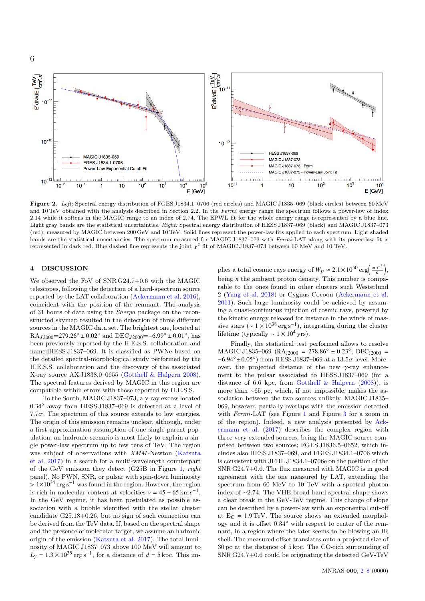

Figure 2. Left: Spectral energy distribution of FGES J1834.1–0706 (red circles) and MAGIC J1835–069 (black circles) between 60 MeV and 10 TeV obtained with the analysis described in Section 2.2. In the Fermi energy range the spectrum follows a power-law of index 2.14 while it softens in the MAGIC range to an index of 2.74. The EPWL fit for the whole energy range is represented by a blue line. Light gray bands are the statistical uncertainties. Right: Spectral energy distribution of HESS J1837–069 (black) and MAGIC J1837–073 (red), measured by MAGIC between 200 GeV and 10 TeV. Solid lines represent the power-law fits applied to each spectrum. Light shaded bands are the statistical uncertainties. The spectrum measured for MAGIC J1837–073 with Fermi-LAT along with its power-law fit is represented in dark red. Blue dashed line represents the joint  $\chi^2$  fit of MAGIC J1837–073 between 60 MeV and 10 TeV.

# 4 DISCUSSION

We observed the FoV of SNR G24.7+0.6 with the MAGIC telescopes, following the detection of a hard-spectrum source reported by the LAT collaboration [\(Ackermann et al.](#page-7-13) [2016\)](#page-7-13), coincident with the position of the remnant. The analysis of 31 hours of data using the Sherpa package on the reconstructed skymap resulted in the detection of three different sources in the MAGIC data set. The brightest one, located at  $RA<sub>J2000</sub>=279.26° ± 0.02°$  and  $DEC<sub>J2000</sub>=-6.99° ± 0.01°$ , has been previously reported by the H.E.S.S. collaboration and namedHESS J1837–069. It is classified as PWNe based on the detailed spectral-morphological study performed by the H.E.S.S. collaboration and the discovery of the associated X-ray source AX J1838.0–0655 [\(Gotthelf & Halpern](#page-7-23) [2008\)](#page-7-23). The spectral features derived by MAGIC in this region are compatible within errors with those reported by H.E.S.S.

To the South, MAGIC J1837–073, a  $\gamma$ -ray excess located <sup>0</sup>.34◦ away from HESS J1837–069 is detected at a level of 7.7 $\sigma$ . The spectrum of this source extends to low energies. The origin of this emission remains unclear, although, under a first approximation assumption of one single parent population, an hadronic scenario is most likely to explain a single power-law spectrum up to few tens of TeV. The region was subject of observations with XMM-Newton [\(Katsuta](#page-7-33) [et al.](#page-7-33) [2017\)](#page-7-33) in a search for a multi-wavelength counterpart of the GeV emission they detect (G25B in Figure [1,](#page-4-0) right panel). No PWN, SNR, or pulsar with spin-down luminosity  $> 1\times10^{34}$  erg s<sup>-1</sup> was found in the region. However, the region is rich in molecular content at velocities  $v = 45 - 65 \text{ km s}^{-1}$ . In the GeV regime, it has been postulated as possible association with a bubble identified with the stellar cluster candidate G25.18+0.26, but no sign of such connection can be derived from the TeV data. If, based on the spectral shape and the presence of molecular target, we assume an hadronic origin of the emission [\(Katsuta et al.](#page-7-33) [2017\)](#page-7-33). The total luminosity of MAGIC J1837–073 above 100 MeV will amount to  $L<sub>γ</sub> = 1.3 \times 10<sup>35</sup> \text{ erg s}^{-1}$ , for a distance of *d* = 5 kpc. This im-

<span id="page-5-0"></span>plies a total cosmic rays energy of  $W_p \approx 2.1 \times 10^{50} \text{ erg} \left( \frac{\text{cm}^{-3}}{n} \right)$ , being *n* the ambient proton density. This number is comparable to the ones found in other clusters such Westerlund 2 [\(Yang et al.](#page-7-35) [2018\)](#page-7-35) or Cygnus Cocoon [\(Ackermann et al.](#page-7-36) [2011\)](#page-7-36). Such large luminosity could be achieved by assuming a quasi-continuous injection of cosmic rays, powered by the kinetic energy released for instance in the winds of massive stars ( $\sim 1 \times 10^{38} \text{ erg s}^{-1}$ ), integrating during the cluster lifetime (typically  $\sim 1 \times 10^4$  yrs).

Finally, the statistical test performed allows to resolve MAGIC J1835–069 (RA<sub>J2000</sub> = 278.86<sup>°</sup> ± 0.23<sup>°</sup>; DEC<sub>J2000</sub> = <br>-6.94° +0.05°) from HESS 11837–069 at a 13.5 $\sigma$  layel More  $-6.94° \pm 0.05°$  from HESS J1837–069 at a 13.5 $\sigma$  level. More-<br>over the projected distance of the new  $\chi$  ray ophance over, the projected distance of the new  $\gamma$ -ray enhancement to the pulsar associated to HESS J1837–069 (for a distance of 6.6 kpc, from [Gotthelf & Halpern](#page-7-23) [\(2008\)](#page-7-23)), is more than ∼65 pc, which, if not impossible, makes the association between the two sources unlikely. MAGIC J1835– 069, however, partially overlaps with the emission detected with Fermi-LAT (see Figure [1](#page-4-0) and Figure [3](#page-6-1) for a zoom in of the region). Indeed, a new analysis presented by [Ack](#page-7-18)[ermann et al.](#page-7-18) [\(2017\)](#page-7-18) describes the complex region with three very extended sources, being the MAGIC source comprised between two sources; FGES J1836.5–0652, which includes also HESS J1837–069, and FGES J1834.1–0706 which is consistent with 3FHL J1834.1–0706e on the position of the SNR G24.7+0.6. The flux measured with MAGIC is in good agreement with the one measured by LAT, extending the spectrum from 60 MeV to 10 TeV with a spectral photon index of ∼2.74. The VHE broad band spectral shape shows a clear break in the GeV-TeV regime. This change of slope can be described by a power-law with an exponential cut-off at  $E_C = 1.9 \text{ TeV}$ . The source shows an extended morphology and it is offset 0.34◦ with respect to center of the remnant, in a region where the later seems to be blowing an IR shell. The measured offset translates onto a projected size of 30 pc at the distance of 5 kpc. The CO-rich surrounding of SNR G24.7+0.6 could be originating the detected GeV-TeV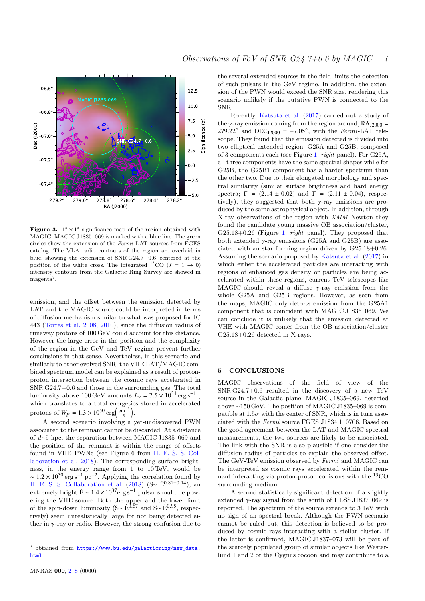

<span id="page-6-1"></span>Figure 3.  $1^\circ \times 1^\circ$  significance map of the region obtained with MAGIC. MAGIC J1835–069 is marked with a blue line. The green circles show the extension of the Fermi-LAT sources from FGES catalog. The VLA radio contours of the region are overlaid in blue, showing the extension of SNR G24.7+0.6 centered at the position of the white cross. The integrated <sup>13</sup>CO ( $J = 1 \rightarrow 0$ ) intensity contours from the Galactic Ring Survey are showed in magenta<sup>7</sup>.

emission, and the offset between the emission detected by LAT and the MAGIC source could be interpreted in terms of diffusion mechanism similar to what was proposed for IC 443 [\(Torres et al.](#page-7-37) [2008,](#page-7-37) [2010\)](#page-7-38), since the diffusion radius of runaway protons of 100 GeV could account for this distance. However the large error in the position and the complexity of the region in the GeV and TeV regime prevent further conclusions in that sense. Nevertheless, in this scenario and similarly to other evolved SNR, the VHE LAT/MAGIC combined spectrum model can be explained as a result of protonproton interaction between the cosmic rays accelerated in SNR G24.7+0.6 and those in the surrounding gas. The total luminosity above 100 GeV amounts  $L_y = 7.5 \times 10^{34} \text{ erg s}^{-1}$ ,<br>which translates to a total energotics stored in accelerated which translates to a total energetics stored in accelerated protons of  $W_p = 1.3 \times 10^{50} \text{ erg} \left( \frac{\text{cm}^{-3}}{n} \right)$ .

A second scenario involving a yet-undiscovered PWN associated to the remnant cannot be discarded. At a distance of d∼5 kpc, the separation between MAGIC J1835–069 and the position of the remnant is within the range of offsets found in VHE PWNe (see Figure 6 from [H. E. S. S. Col](#page-7-39)[laboration et al.](#page-7-39) [2018\)](#page-7-39). The corresponding surface brightness, in the energy range from 1 to 10 TeV, would be ~  $1.2 \times 10^{30} \text{ erg s}^{-1} \text{ pc}^{-2}$ . Applying the correlation found by<br>H E S S Collaboration of al. (2018) (S =  $E^{0.81\pm0.14}$ ) and [H. E. S. S. Collaboration et al.](#page-7-39) [\(2018\)](#page-7-39) (S~ E<sup>0.81±0.14</sup>), an extremely bright  $\dot{E} \sim 1.4 \times 10^{37} \text{erg s}^{-1}$  pulsar should be powering the VHE source. Both the upper and the lower limit of the spin-down luminosity (S∼  $\dot{E}^{0.\hat{6}7}$  and S∼  $\dot{E}^{0.95}$ , respectively) seem unrealistically large for not being detected either in  $\gamma$ -ray or radio. However, the strong confusion due to the several extended sources in the field limits the detection of such pulsars in the GeV regime. In addition, the extension of the PWN would exceed the SNR size, rendering this scenario unlikely if the putative PWN is connected to the SNR.

Recently, [Katsuta et al.](#page-7-33) [\(2017\)](#page-7-33) carried out a study of the  $\gamma$ -ray emission coming from the region around,  $RA<sub>12000</sub>$  =  $279.22°$  and DEC<sub>J2000</sub> =  $-7.05°$ , with the *Fermi*-LAT telescope. They found that the emission detected is divided into scope. They found that the emission detected is divided into two elliptical extended region, G25A and G25B, composed of 3 components each (see Figure [1,](#page-4-0) right panel). For G25A, all three components have the same spectral shapes while for G25B, the G25B1 component has a harder spectrum than the other two. Due to their elongated morphology and spectral similarity (similar surface brightness and hard energy spectra;  $\Gamma = (2.14 \pm 0.02)$  and  $\Gamma = (2.11 \pm 0.04)$ , respectively), they suggested that both  $\gamma$ -ray emissions are produced by the same astrophysical object. In addition, through X-ray observations of the region with XMM -Newton they found the candidate young massive OB association/cluster,  $G25.18+0.26$  (Figure [1,](#page-4-0) *right* panel). They proposed that both extended  $\nu$ -ray emissions (G25A and G25B) are associated with an star forming region driven by G25.18+0.26. Assuming the scenario proposed by [Katsuta et al.](#page-7-33) [\(2017\)](#page-7-33) in which either the accelerated particles are interacting with regions of enhanced gas density or particles are being accelerated within these regions, current TeV telescopes like MAGIC should reveal a diffuse  $\gamma$ -ray emission from the whole G25A and G25B regions. However, as seen from the maps, MAGIC only detects emission from the G25A1 component that is coincident with MAGIC J1835–069. We can conclude it is unlikely that the emission detected at VHE with MAGIC comes from the OB association/cluster G25.18+0.26 detected in X-rays.

# <span id="page-6-0"></span>5 CONCLUSIONS

MAGIC observations of the field of view of the SNR G24.7+0.6 resulted in the discovery of a new TeV source in the Galactic plane, MAGIC J1835–069, detected above ∼150 GeV. The position of MAGIC J1835–069 is compatible at  $1.5\sigma$  with the center of SNR, which is in turn associated with the Fermi source FGES J1834.1–0706. Based on the good agreement between the LAT and MAGIC spectral measurements, the two sources are likely to be associated. The link with the SNR is also plausible if one consider the diffusion radius of particles to explain the observed offset. The GeV-TeV emission observed by Fermi and MAGIC can be interpreted as cosmic rays accelerated within the remnant interacting via proton-proton collisions with the <sup>13</sup>CO surrounding medium.

A second statistically significant detection of a slightly extended  $\gamma$ -ray signal from the south of HESS J1837–069 is reported. The spectrum of the source extends to 3 TeV with no sign of an spectral break. Although the PWN scenario cannot be ruled out, this detection is believed to be produced by cosmic rays interacting with a stellar cluster. If the latter is confirmed, MAGIC J1837–073 will be part of the scarcely populated group of similar objects like Westerlund 1 and 2 or the Cygnus cocoon and may contribute to a

<sup>7</sup> obtained from [https://www.bu.edu/galacticring/new\\_data.](https://www.bu.edu/galacticring/new_data.html) [html](https://www.bu.edu/galacticring/new_data.html)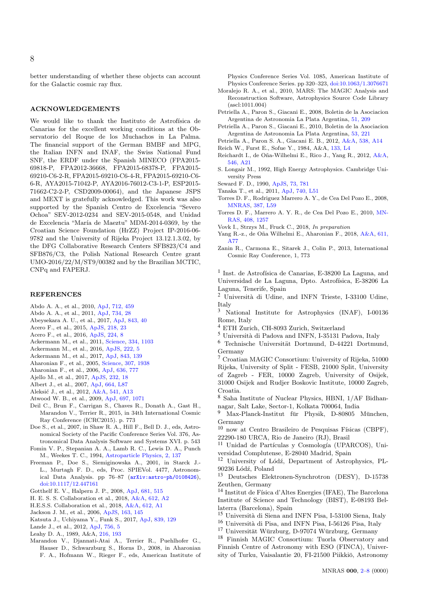better understanding of whether these objects can account for the Galactic cosmic ray flux.

### ACKNOWLEDGEMENTS

We would like to thank the Instituto de Astrofísica de Canarias for the excellent working conditions at the Observatorio del Roque de los Muchachos in La Palma. The financial support of the German BMBF and MPG, the Italian INFN and INAF, the Swiss National Fund SNF, the ERDF under the Spanish MINECO (FPA2015- 69818-P, FPA2012-36668, FPA2015-68378-P, FPA2015- 69210-C6-2-R, FPA2015-69210-C6-4-R, FPA2015-69210-C6- 6-R, AYA2015-71042-P, AYA2016-76012-C3-1-P, ESP2015- 71662-C2-2-P, CSD2009-00064), and the Japanese JSPS and MEXT is gratefully acknowledged. This work was also supported by the Spanish Centro de Excelencia "Severo Ochoa" SEV-2012-0234 and SEV-2015-0548, and Unidad de Excelencia "María de Maeztu" MDM-2014-0369, by the Croatian Science Foundation (HrZZ) Project IP-2016-06- 9782 and the University of Rijeka Project 13.12.1.3.02, by the DFG Collaborative Research Centers SFB823/C4 and SFB876/C3, the Polish National Research Centre grant UMO-2016/22/M/ST9/00382 and by the Brazilian MCTIC, CNPq and FAPERJ.

## **REFERENCES**

- <span id="page-7-17"></span>Abdo A. A., et al., 2010, [ApJ,](http://dx.doi.org/10.1088/0004-637X/712/1/459) [712, 459](http://adsabs.harvard.edu/abs/2010ApJ...712..459A)
- <span id="page-7-14"></span>Abdo A. A., et al., 2011, [ApJ,](http://dx.doi.org/10.1088/0004-637X/734/1/28) [734, 28](http://adsabs.harvard.edu/abs/2011ApJ...734...28A)
- <span id="page-7-26"></span>Abeysekara A. U., et al., 2017, [ApJ,](http://dx.doi.org/10.3847/1538-4357/aa7556) [843, 40](http://adsabs.harvard.edu/abs/2017ApJ...843...40A)
- <span id="page-7-11"></span>Acero F., et al., 2015, [ApJS,](http://dx.doi.org/10.1088/0067-0049/218/2/23) [218, 23](http://adsabs.harvard.edu/abs/2015ApJS..218...23A)
- <span id="page-7-12"></span>Acero F., et al., 2016, [ApJS,](http://dx.doi.org/10.3847/0067-0049/224/1/8) [224, 8](http://adsabs.harvard.edu/abs/2016ApJS..224....8A)
- <span id="page-7-36"></span>Ackermann M., et al., 2011, [Science,](http://dx.doi.org/10.1126/science.1210311) [334, 1103](http://adsabs.harvard.edu/abs/2011Sci...334.1103A)
- <span id="page-7-13"></span>Ackermann M., et al., 2016, [ApJS,](http://dx.doi.org/10.3847/0067-0049/222/1/5) [222, 5](http://adsabs.harvard.edu/abs/2016ApJS..222....5A)
- <span id="page-7-18"></span>Ackermann M., et al., 2017, [ApJ,](http://dx.doi.org/10.3847/1538-4357/aa775a) [843, 139](http://adsabs.harvard.edu/abs/2017ApJ...843..139A)
- <span id="page-7-21"></span>Aharonian F., et al., 2005, [Science,](http://dx.doi.org/10.1126/science.1108643) [307, 1938](http://adsabs.harvard.edu/abs/2005Sci...307.1938A)
- <span id="page-7-22"></span>Aharonian F., et al., 2006, [ApJ,](http://dx.doi.org/10.1086/498013) [636, 777](http://adsabs.harvard.edu/abs/2006ApJ...636..777A)
- <span id="page-7-19"></span>Ajello M., et al., 2017, [ApJS,](http://dx.doi.org/10.3847/1538-4365/aa8221) [232, 18](http://adsabs.harvard.edu/abs/2017ApJS..232...18A)
- <span id="page-7-0"></span>Albert J., et al., 2007, [ApJ,](http://dx.doi.org/10.1086/520957) [664, L87](http://adsabs.harvard.edu/abs/2007ApJ...664L..87A)
- <span id="page-7-1"></span>Aleksić J., et al., 2012, [A&A,](http://dx.doi.org/10.1051/0004-6361/201218846) [541, A13](http://adsabs.harvard.edu/abs/2012A%26A...541A..13A)
- <span id="page-7-10"></span>Atwood W. B., et al., 2009, [ApJ,](http://dx.doi.org/10.1088/0004-637X/697/2/1071) [697, 1071](http://adsabs.harvard.edu/abs/2009ApJ...697.1071A)
- <span id="page-7-20"></span>Deil C., Brun F., Carrigan S., Chaves R., Donath A., Gast H., Marandon V., Terrier R., 2015, in 34th International Cosmic Ray Conference (ICRC2015). p. 773
- <span id="page-7-31"></span>Doe S., et al., 2007, in Shaw R. A., Hill F., Bell D. J., eds, Astronomical Society of the Pacific Conference Series Vol. 376, Astronomical Data Analysis Software and Systems XVI. p. 543
- <span id="page-7-27"></span>Fomin V. P., Stepanian A. A., Lamb R. C., Lewis D. A., Punch M., Weekes T. C., 1994, [Astroparticle Physics,](http://dx.doi.org/10.1016/0927-6505(94)90036-1) [2, 137](http://adsabs.harvard.edu/abs/1994APh.....2..137F)
- <span id="page-7-32"></span>Freeman P., Doe S., Siemiginowska A., 2001, in Starck J.- L., Murtagh F. D., eds, Proc. SPIEVol. 4477, Astronomical Data Analysis. pp 76–87 ([arXiv:astro-ph/0108426](http://arxiv.org/abs/astro-ph/0108426)), [doi:10.1117/12.447161](http://dx.doi.org/10.1117/12.447161)
- <span id="page-7-23"></span>Gotthelf E. V., Halpern J. P., 2008, [ApJ,](http://dx.doi.org/10.1086/588779) [681, 515](http://adsabs.harvard.edu/abs/2008ApJ...681..515G)
- <span id="page-7-39"></span>H. E. S. S. Collaboration et al., 2018, [A&A,](http://dx.doi.org/10.1051/0004-6361/201629377) [612, A2](http://adsabs.harvard.edu/abs/2018A%26A...612A...2H)
- <span id="page-7-25"></span>H.E.S.S. Collaboration et al., 2018, [A&A,](http://dx.doi.org/10.1051/0004-6361/201732098) [612, A1](http://adsabs.harvard.edu/abs/2018A%26A...612A...1H)
- <span id="page-7-5"></span>Jackson J. M., et al., 2006, [ApJS,](http://dx.doi.org/10.1086/500091) [163, 145](http://adsabs.harvard.edu/abs/2006ApJS..163..145J)
- <span id="page-7-33"></span>Katsuta J., Uchiyama Y., Funk S., 2017, [ApJ,](http://dx.doi.org/10.3847/1538-4357/aa6aa3) [839, 129](http://adsabs.harvard.edu/abs/2017ApJ...839..129K)
- <span id="page-7-34"></span>Lande J., et al., 2012, [ApJ,](http://dx.doi.org/10.1088/0004-637X/756/1/5) [756, 5](http://adsabs.harvard.edu/abs/2012ApJ...756....5L)
- <span id="page-7-4"></span>Leahy D. A., 1989, A&A, [216, 193](http://adsabs.harvard.edu/abs/1989A%26A...216..193L)
- <span id="page-7-24"></span>Marandon V., Djannati-Atai A., Terrier R., Puehlhofer G., Hauser D., Schwarzburg S., Horns D., 2008, in Aharonian F. A., Hofmann W., Rieger F., eds, American Institute of

Physics Conference Series Vol. 1085, American Institute of Physics Conference Series. pp 320–323, [doi:10.1063/1.3076671](http://dx.doi.org/10.1063/1.3076671)

- <span id="page-7-28"></span>Moralejo R. A., et al., 2010, MARS: The MAGIC Analysis and Reconstruction Software, Astrophysics Source Code Library (ascl:1011.004)
- <span id="page-7-6"></span>Petriella A., Paron S., Giacani E., 2008, Boletin de la Asociacion Argentina de Astronomia La Plata Argentina, [51, 209](http://adsabs.harvard.edu/abs/2008BAAA...51..209P)
- <span id="page-7-8"></span>Petriella A., Paron S., Giacani E., 2010, Boletin de la Asociacion Argentina de Astronomia La Plata Argentina, [53, 221](http://adsabs.harvard.edu/abs/2010BAAA...53..221P)
- <span id="page-7-7"></span>Petriella A., Paron S. A., Giacani E. B., 2012, [A&A,](http://dx.doi.org/10.1051/0004-6361/201118394) [538, A14](http://adsabs.harvard.edu/abs/2012A%26A...538A..14P)
- <span id="page-7-3"></span>Reich W., Furst E., Sofue Y., 1984, A&A, [133, L4](http://adsabs.harvard.edu/abs/1984A%26A...133L...4R)
- <span id="page-7-16"></span>Reichardt I., de O˜na-Wilhelmi E., Rico J., Yang R., 2012, [A&A,](http://dx.doi.org/10.1051/0004-6361/201219947) [546, A21](http://adsabs.harvard.edu/abs/2012A%26A...546A..21R)
- <span id="page-7-2"></span>S. Longair M., 1992, High Energy Astrophysics. Cambridge University Press
- <span id="page-7-9"></span>Seward F. D., 1990, [ApJS,](http://dx.doi.org/10.1086/191489) [73, 781](http://adsabs.harvard.edu/abs/1990ApJS...73..781S)
- <span id="page-7-15"></span>Tanaka T., et al., 2011, [ApJ,](http://dx.doi.org/10.1088/2041-8205/740/2/L51) [740, L51](http://adsabs.harvard.edu/abs/2011ApJ...740L..51T)
- <span id="page-7-37"></span>Torres D. F., Rodriguez Marrero A. Y., de Cea Del Pozo E., 2008, [MNRAS,](http://dx.doi.org/10.1111/j.1745-3933.2008.00485.x) [387, L59](http://adsabs.harvard.edu/abs/2008MNRAS.387L..59T)
- <span id="page-7-38"></span>Torres D. F., Marrero A. Y. R., de Cea Del Pozo E., 2010, [MN-](http://dx.doi.org/10.1111/j.1365-2966.2010.17205.x)[RAS,](http://dx.doi.org/10.1111/j.1365-2966.2010.17205.x) [408, 1257](http://adsabs.harvard.edu/abs/2010MNRAS.408.1257T)
- <span id="page-7-30"></span>Vovk I., Strzys M., Fruck C., 2018, In preparation
- <span id="page-7-35"></span>Yang R.-z., de Oña Wilhelmi E., Aharonian F., 2018, [A&A,](http://dx.doi.org/10.1051/0004-6361/201732045) [611,](http://adsabs.harvard.edu/abs/2018A%26A...611A..77Y) [A77](http://adsabs.harvard.edu/abs/2018A%26A...611A..77Y)
- <span id="page-7-29"></span>Zanin R., Carmona E., Sitarek J., Colin P., 2013, International Cosmic Ray Conference, 1, 773

<sup>1</sup> Inst. de Astrofísica de Canarias, E-38200 La Laguna, and Universidad de La Laguna, Dpto. Astrofísica, E-38206 La Laguna, Tenerife, Spain

 $2$  Università di Udine, and INFN Trieste, I-33100 Udine, Italy

<sup>3</sup> National Institute for Astrophysics (INAF), I-00136 Rome, Italy

- <sup>4</sup> ETH Zurich, CH-8093 Zurich, Switzerland
- $^5$ Università di Padova and INFN, I-35131 Padova, Italy
- $^6$  Technische Universität Dortmund, D-44221 Dortmund, Germany
- <sup>7</sup> Croatian MAGIC Consortium: University of Rijeka, 51000 Rijeka, University of Split - FESB, 21000 Split, University of Zagreb - FER, 10000 Zagreb, University of Osijek, 31000 Osijek and Rudjer Boskovic Institute, 10000 Zagreb, Croatia.
- <sup>8</sup> Saha Institute of Nuclear Physics, HBNI, 1/AF Bidhannagar, Salt Lake, Sector-1, Kolkata 700064, India

Max-Planck-Institut für Physik, D-80805 München, Germany

 $10$  now at Centro Brasileiro de Pesquisas Físicas (CBPF), 22290-180 URCA, Rio de Janeiro (RJ), Brasil

<sup>11</sup> Unidad de Partículas y Cosmología (UPARCOS), Universidad Complutense, E-28040 Madrid, Spain

12 University of Lódź, Department of Astrophysics, PL-90236 Lódź, Poland<br> $\frac{13}{2}$  Doutsches Elekt

<sup>13</sup> Deutsches Elektronen-Synchrotron (DESY), D-15738 Zeuthen, Germany

 $^{14}$  Institut de Física d'Altes Energies (IFAE), The Barcelona Institute of Science and Technology (BIST), E-08193 Bellaterra (Barcelona), Spain

- <sup>15</sup> Università di Siena and INFN Pisa, I-53100 Siena, Italy
- <sup>16</sup> Università di Pisa, and INFN Pisa, I-56126 Pisa, Italy
- $17$  Universität Würzburg, D-97074 Würzburg, Germany

<sup>18</sup> Finnish MAGIC Consortium: Tuorla Observatory and Finnish Centre of Astronomy with ESO (FINCA), University of Turku, Vaisalantie 20, FI-21500 Piikkiö, Astronomy